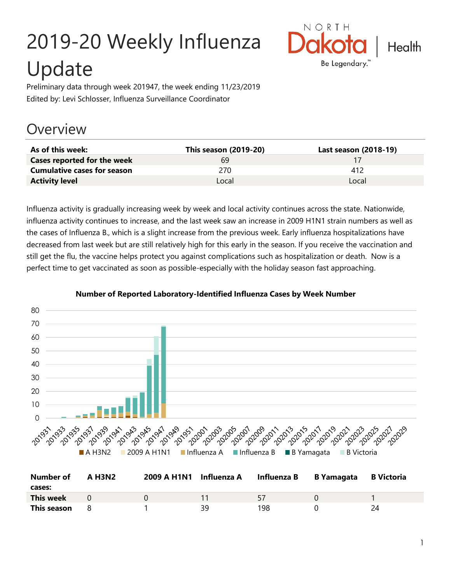# 2019-20 Weekly Influenza Update



Preliminary data through week 201947, the week ending 11/23/2019 Edited by: Levi Schlosser, Influenza Surveillance Coordinator

## **Overview**

| As of this week:                   | This season (2019-20) | Last season (2018-19) |
|------------------------------------|-----------------------|-----------------------|
| Cases reported for the week        | 69                    |                       |
| <b>Cumulative cases for season</b> | 270                   | 412                   |
| <b>Activity level</b>              | Local                 | Local                 |

Influenza activity is gradually increasing week by week and local activity continues across the state. Nationwide, influenza activity continues to increase, and the last week saw an increase in 2009 H1N1 strain numbers as well as the cases of Influenza B., which is a slight increase from the previous week. Early influenza hospitalizations have decreased from last week but are still relatively high for this early in the season. If you receive the vaccination and still get the flu, the vaccine helps protect you against complications such as hospitalization or death. Now is a perfect time to get vaccinated as soon as possible-especially with the holiday season fast approaching.



#### **Number of Reported Laboratory-Identified Influenza Cases by Week Number**

| <b>Number of</b><br>cases: | <b>A H3N2</b> | 2009 A H1N1 Influenza A Influenza B |     | B Yamagata | <b>B</b> Victoria |
|----------------------------|---------------|-------------------------------------|-----|------------|-------------------|
| This week                  | $\Omega$      |                                     | -57 |            |                   |
| This season                |               | 39                                  | 198 |            | ⊇Δ                |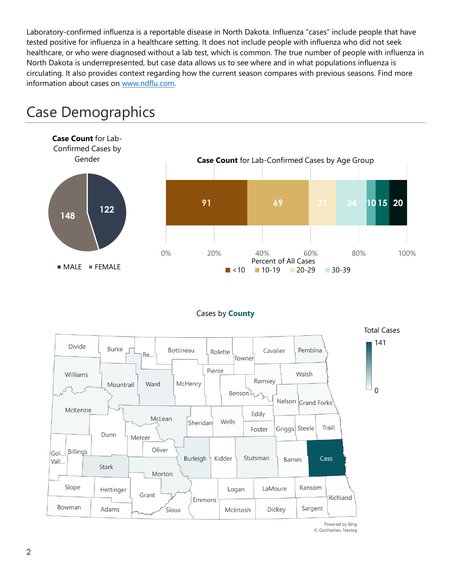Laboratory-confirmed influenza is a reportable disease in North Dakota. Influenza "cases" include people that have tested positive for influenza in a healthcare setting. It does not include people with influenza who did not seek healthcare, or who were diagnosed without a lab test, which is common. The true number of people with influenza in North Dakota is underrepresented, but case data allows us to see where and in what populations influenza is circulating. It also provides context regarding how the current season compares with previous seasons. Find more information about cases on [www.ndflu.com.](file://///nd.gov/doh/DOH-DATA/MSS/DC/PROGRAM/IMMUNE/Immunize/Influenza/Inf18-19/Surveillance/Weekly%20Summaries/www.ndflu.com)



## Case Demographics

#### Cases by **County**



© GeoNames, Navteq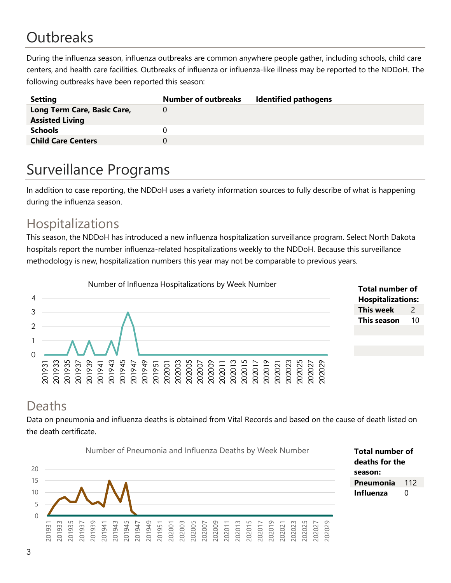# **Outbreaks**

During the influenza season, influenza outbreaks are common anywhere people gather, including schools, child care centers, and health care facilities. Outbreaks of influenza or influenza-like illness may be reported to the NDDoH. The following outbreaks have been reported this season:

| <b>Setting</b>              | <b>Number of outbreaks</b> | <b>Identified pathogens</b> |
|-----------------------------|----------------------------|-----------------------------|
| Long Term Care, Basic Care, |                            |                             |
| <b>Assisted Living</b>      |                            |                             |
| <b>Schools</b>              |                            |                             |
| <b>Child Care Centers</b>   |                            |                             |
|                             |                            |                             |

## Surveillance Programs

In addition to case reporting, the NDDoH uses a variety information sources to fully describe of what is happening during the influenza season.

#### Hospitalizations

This season, the NDDoH has introduced a new influenza hospitalization surveillance program. Select North Dakota hospitals report the number influenza-related hospitalizations weekly to the NDDoH. Because this surveillance methodology is new, hospitalization numbers this year may not be comparable to previous years.



| <b>Total number of</b>   |    |  |  |  |
|--------------------------|----|--|--|--|
| <b>Hospitalizations:</b> |    |  |  |  |
| This week                | 2  |  |  |  |
| This season              | 10 |  |  |  |
|                          |    |  |  |  |

#### Deaths

Data on pneumonia and influenza deaths is obtained from Vital Records and based on the cause of death listed on the death certificate.

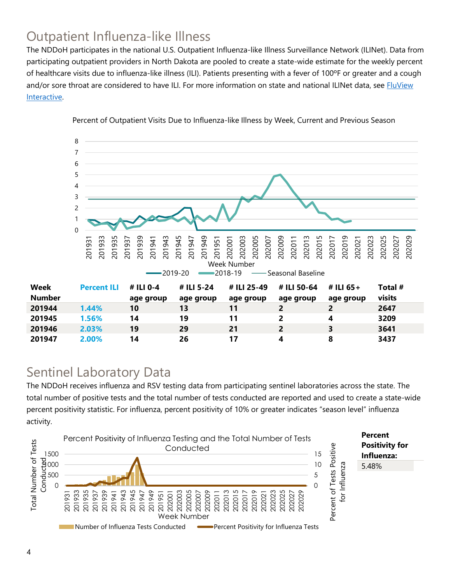## Outpatient Influenza-like Illness

The NDDoH participates in the national U.S. Outpatient Influenza-like Illness Surveillance Network (ILINet). Data from participating outpatient providers in North Dakota are pooled to create a state-wide estimate for the weekly percent of healthcare visits due to influenza-like illness (ILI). Patients presenting with a fever of 100ºF or greater and a cough and/or sore throat are considered to have ILI. For more information on state and national ILINet data, see **FluView** [Interactive.](https://gis.cdc.gov/grasp/fluview/fluportaldashboard.html)



Percent of Outpatient Visits Due to Influenza-like Illness by Week, Current and Previous Season

#### Sentinel Laboratory Data

The NDDoH receives influenza and RSV testing data from participating sentinel laboratories across the state. The total number of positive tests and the total number of tests conducted are reported and used to create a state-wide percent positivity statistic. For influenza, percent positivity of 10% or greater indicates "season level" influenza activity.

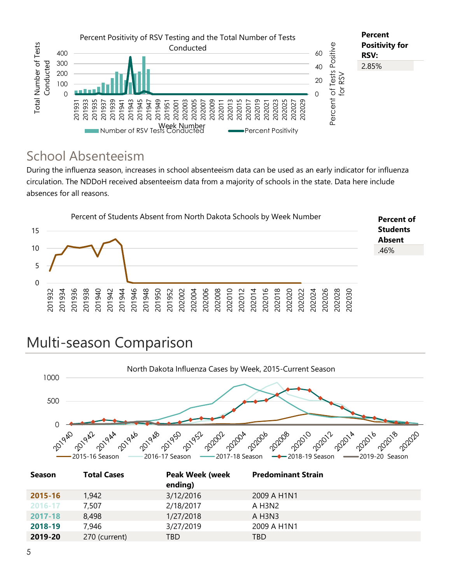

#### School Absenteeism

During the influenza season, increases in school absenteeism data can be used as an early indicator for influenza circulation. The NDDoH received absenteeism data from a majority of schools in the state. Data here include absences for all reasons.



## Multi-season Comparison